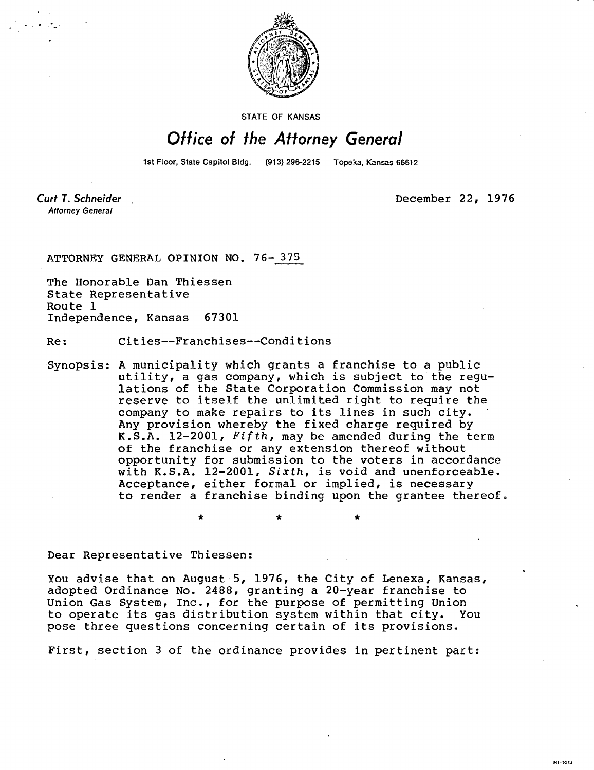

**STATE OF KANSAS** 

## Office of the Attorney General

1st Floor, State Capitol Bldg. (913) 296-2215 Topeka, Kansas 66612

\*

Curt T. Schneider **Attorney General** 

December 22, 1976

ATTORNEY GENERAL OPINION NO. 76-375

The Honorable Dan Thiessen State Representative Route 1 Independence, Kansas 67301

Re: Cities--Franchises--Conditions

Synopsis: A municipality which grants a franchise to a public utility, a gas company, which is subject to the regulations of the State Corporation Commission may not reserve to itself the unlimited right to require the company to make repairs to its lines in such city. Any provision whereby the fixed charge required by K.S.A. 12-2001, Fifth, may be amended during the term of the franchise or any extension thereof without opportunity for submission to the voters in accordance with K.S.A. 12-2001, Sixth, is void and unenforceable. Acceptance, either formal or implied, is necessary to render a franchise binding upon the grantee thereof.

Dear Representative Thiessen:

You advise that on August 5, 1976, the City of Lenexa, Kansas, adopted Ordinance No. 2488, granting a 20-year franchise to Union Gas System, Inc., for the purpose of permitting Union to operate its gas distribution system within that city. You pose three questions concerning certain of its provisions.

First, section 3 of the ordinance provides in pertinent part:

MILTOLY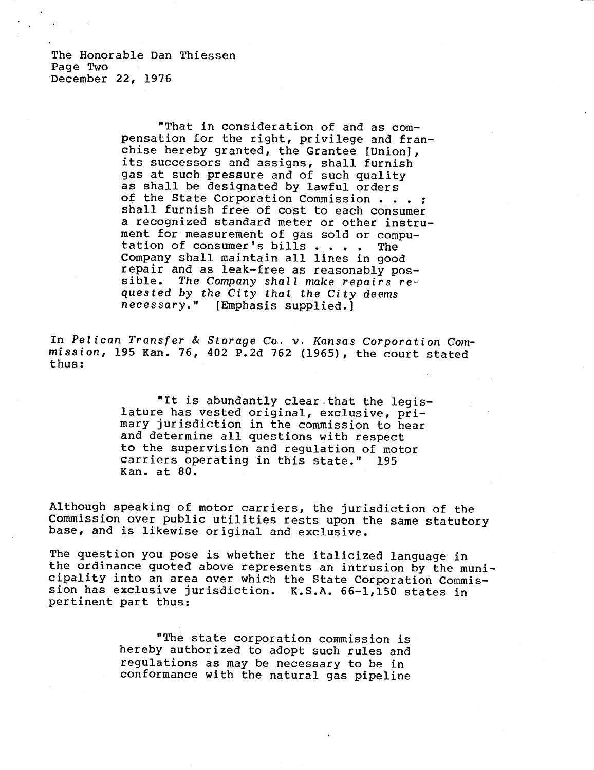The Honorable Dan Thiessen Page Two December 22, 1976

> "That in consideration of and as compensation for the right, privilege and franchise hereby granted, the Grantee [Union), its successors and assigns, shall furnish gas at such pressure and of such quality as shall be designated by lawful orders of the State Corporation Commission . . . ; shall furnish free of cost to each consumer a recognized standard meter or other instrument for measurement of gas sold or computation of consumer's bills . . . . The Company shall maintain all lines in good repair and as leak-free as reasonably possible. The Company shall make repairs requested by the City that the City deems necessary." [Emphasis supplied.]

In Pelican Transfer & Storage Co. v. Kansas Corporation Commission, 195 Kan. 76, 402 P.2d 762 (1965), the court stated thus:

> "It is abundantly clear that the legislature has vested original, exclusive, primary jurisdiction in the commission to hear and determine all questions with respect to the supervision and regulation of motor carriers operating in this state." 195 Kan. at 80.

Although speaking of motor carriers, the jurisdiction of the Commission over public utilities rests upon the same statutory base, and is likewise original and exclusive.

The question you pose is whether the italicized language in the ordinance quoted above represents an intrusion by the municipality into an area over which the State Corporation Commission has exclusive jurisdiction. K.S.A. 66-1,150 states in pertinent part thus:

> "The state corporation commission is hereby authorized to adopt such rules and regulations as may be necessary to be in conformance with the natural gas pipeline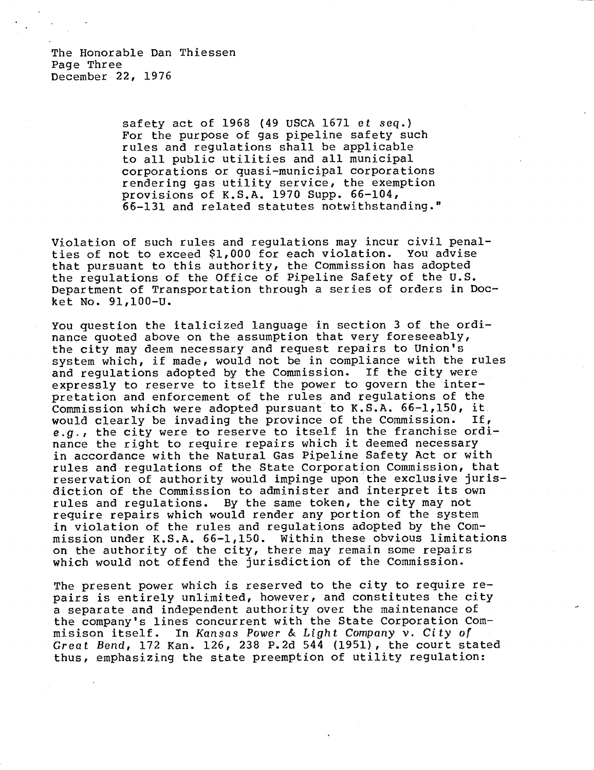The Honorable Dan Thiessen Page Three December 22, 1976

> safety act of 1968 (49 USCA 1671 et seq.) For the purpose of gas pipeline safety such rules and regulations shall be applicable to all public utilities and all municipal corporations or quasi-municipal corporations rendering gas utility service, the exemption provisions of K.S.A. 1970 Supp. 66-104, 66-131 and related statutes notwithstanding."

Violation of such rules and regulations may incur civil penalties of not to exceed \$1,000 for each violation. You advise that pursuant to this authority, the Commission has adopted the regulations of the Office of Pipeline Safety of the U.S. Department of Transportation through a series of orders in Docket No. 91,100-U.

You question the italicized language in section 3 of the ordinance quoted above on the assumption that very foreseeably, the city may deem necessary and request repairs to Union's system which, if made, would not be in compliance with the rules and regulations adopted by the Commission. If the city were expressly to reserve to itself the power to govern the interpretation and enforcement of the rules and regulations of the Commission which were adopted pursuant to K.S.A. 66-1,150, it would clearly be invading the province of the Commission. If, e.g., the city were to reserve to itself in the franchise ordinance the right to require repairs which it deemed necessary in accordance with the Natural Gas Pipeline Safety Act or with rules and regulations of the State Corporation Commission, that reservation of authority would impinge upon the exclusive jurisdiction of the Commission to administer and interpret its own rules and regulations. By the same token, the city may not require repairs which would render any portion of the system in violation of the rules and regulations adopted by the Commission under K.S.A. 66-1,150. Within these obvious limitations on the authority of the city, there may remain some repairs which would not offend the jurisdiction of the Commission.

The present power which is reserved to the city to require repairs is entirely unlimited, however, and constitutes the city a separate and independent authority over the maintenance of the company's lines concurrent with the State Corporation Commisison itself. In Kansas Power & Light Company v. City of Great Bend, 172 Kan. 126, 238 P.2d 544 (1951), the court stated thus, emphasizing the state preemption of utility regulation: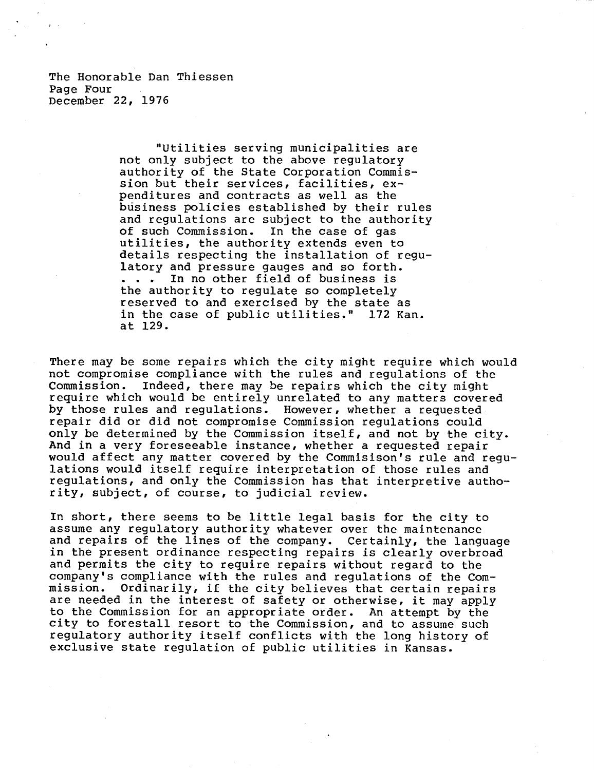The Honorable Dan Thiessen Page Four December 22, 1976

> "Utilities serving municipalities are not only subject to the above regulatory authority of the State Corporation Commission but their services, facilities, expenditures and contracts as well as the business policies established by their rules and regulations are subject to the authority of such Commission. In the case of gas utilities, the authority extends even to details respecting the installation of regulatory and pressure gauges and so forth. . . . In no other field of business is the authority to regulate so completely reserved to and exercised by the state as in the case of public utilities." 172 Kan. at 129.

There may be some repairs which the city might require which would not compromise compliance with the rules and regulations of the Commission. Indeed, there may be repairs which the city might require which would be entirely unrelated to any matters covered by those rules and regulations. However, whether a requested repair did or did not compromise Commission regulations could only be determined by the Commission itself, and not by the city. And in a very foreseeable instance, whether a requested repair would affect any matter covered by the Commisison's rule and regulations would itself require interpretation of those rules and regulations, and only the Commission has that interpretive authority, subject, of course, to judicial review.

In short, there seems to be little legal basis for the city to assume any regulatory authority whatever over the maintenance and repairs of the lines of the company. Certainly, the language in the present ordinance respecting repairs is clearly overbroad and permits the city to require repairs without regard to the company's compliance with the rules and regulations of the Commission. Ordinarily, if the city believes that certain repairs are needed in the interest of safety or otherwise, it may apply to the Commission for an appropriate order. An attempt by the city to forestall resort to the Commission, and to assume such regulatory authority itself conflicts with the long history of exclusive state regulation of public utilities in Kansas.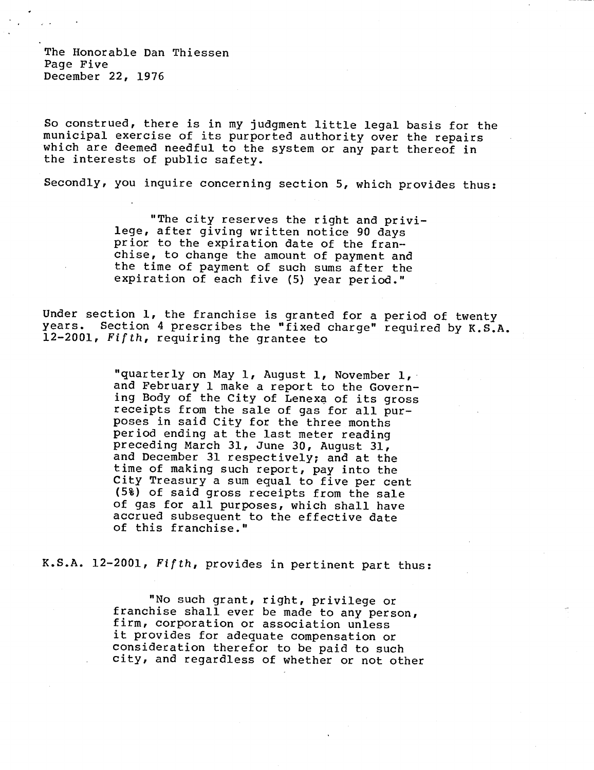The Honorable Dan Thiessen Page Five December 22, 1976

So construed, there is in my judgment little legal basis for the municipal exercise of its purported authority over the repairs which are deemed needful to the system or any part thereof in the interests of public safety.

Secondly, you inquire concerning section 5, which provides thus:

"The city reserves the right and privilege, after giving written notice 90 days prior to the expiration date of the franchise, to change the amount of payment and the time of payment of such sums after the expiration of each five (5) year period."

Under section 1, the franchise is granted for a period of twenty years. Section 4 prescribes the "fixed charge" required by K.S.A. 12-2001, Fifth, requiring the grantee to

> "quarterly on May 1, August 1, November 1, and February 1 make a report to the Governing Body of the City of Lenexa of its gross receipts from the sale of gas for all purposes in said City for the three months period ending at the last meter reading preceding March 31, June 30, August 31, and December 31 respectively; and at the time of making such report, pay into the City Treasury a sum equal to five per cent (5%) of said gross receipts from the sale of gas for all purposes, which shall have accrued subsequent to the effective date of this franchise."

K.S.A. 12-2001, Fifth, provides in pertinent part thus:

"No such grant, right, privilege or franchise shall ever be made to any person, firm, corporation or association unless it provides for adequate compensation or consideration therefor to be paid to such city, and regardless of whether or not other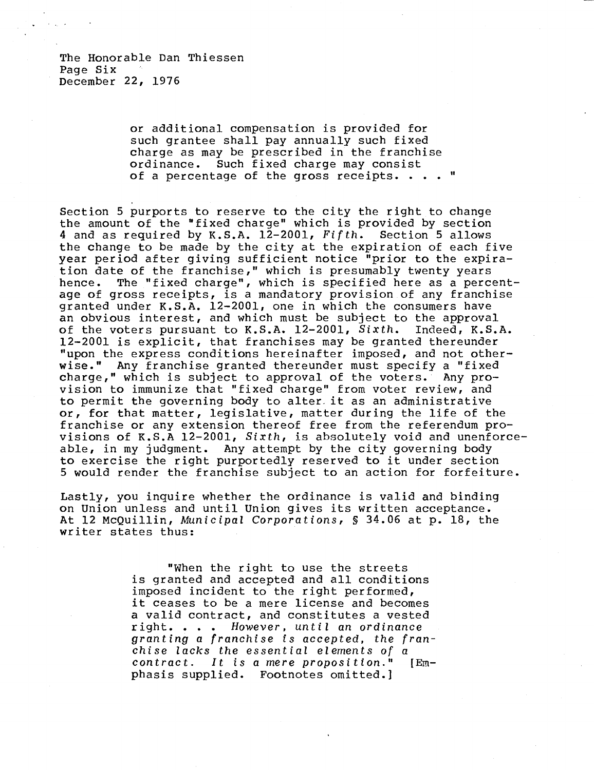or additional compensation is provided for such grantee shall pay annually such fixed charge as may be prescribed in the franchise ordinance. Such fixed charge may consist of a percentage of the gross receipts.  $\cdots$ 

Section 5 purports to reserve to the city the right to change the amount of the "fixed charge" which is provided by section 4 and as required by K.S.A. 12-2001, Fifth. Section 5 allows the change to be made by the city at the expiration of each five year period after giving sufficient notice "prior to the expiration date of the franchise," which is presumably twenty years hence. The "fixed charge", which is specified here as a percentage of gross receipts, is a mandatory provision of any franchise granted under K.S.A. 12-2001, one in which the consumers have an obvious interest, and which must be subject to the approval of the voters pursuant to K.S.A. 12-2001, Sixth. Indeed, K.S.A. 12-2001 is explicit, that franchises may be granted thereunder "upon the express conditions hereinafter imposed, and not otherwise." Any franchise granted thereunder must specify a "fixed charge," which is subject to approval of the voters. Any provision to immunize that "fixed charge" from voter review, and to permit the governing body to alter, it as an administrative or, for that matter, legislative, matter during the life of the franchise or any extension thereof free from the referendum provisions of K.S.A 12-2001, Sixth, is absolutely void and unenforceable, in my judgment. Any attempt by the city governing body to exercise the right purportedly reserved to it under section 5 would render the franchise subject to an action for forfeiture.

Lastly, you inquire whether the ordinance is valid and binding on Union unless and until Union gives its written acceptance. At 12 McQuillin, Municipal Corporations, § 34.06 at p. 18, the writer states thus:

> "When the right to use the streets is granted and accepted and all conditions imposed incident to the right performed, it ceases to be a mere license and becomes a valid contract, and constitutes a vested right. . . . However, until an ordinance granting a franchise is accepted, the franchise lacks the essential elements of a contract. It is a mere proposition." [Emphasis supplied. Footnotes omitted.]